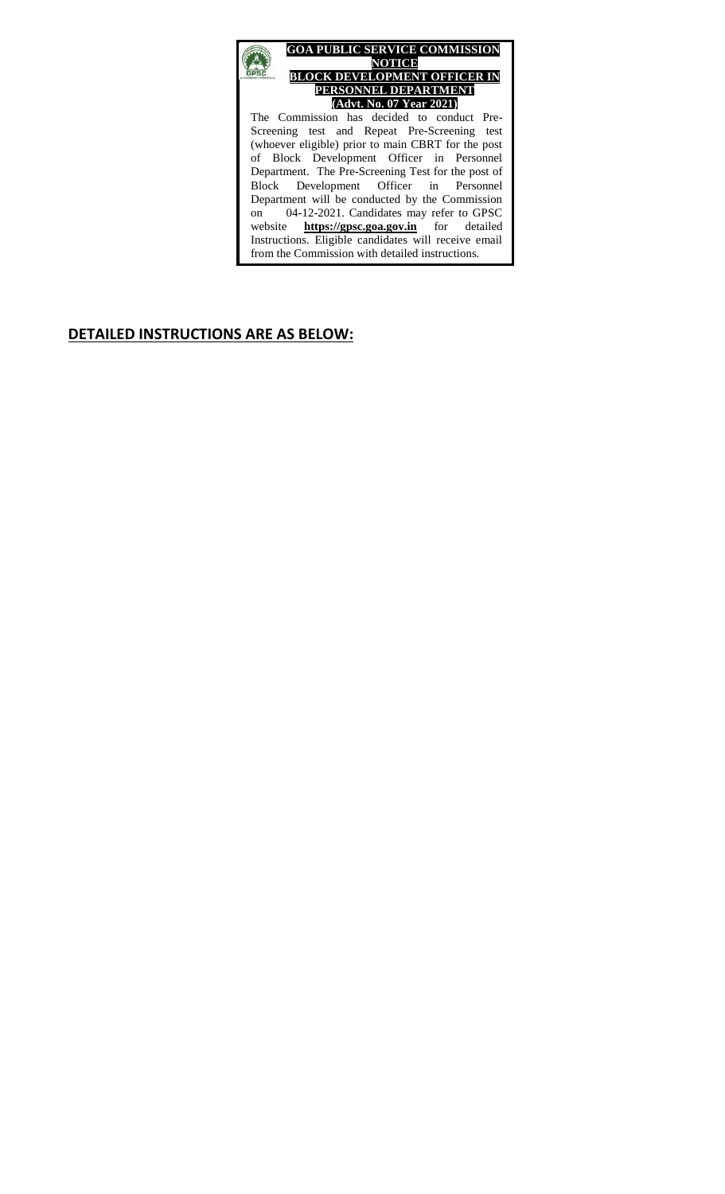

#### **DETAILED INSTRUCTIONS ARE AS BELOW:**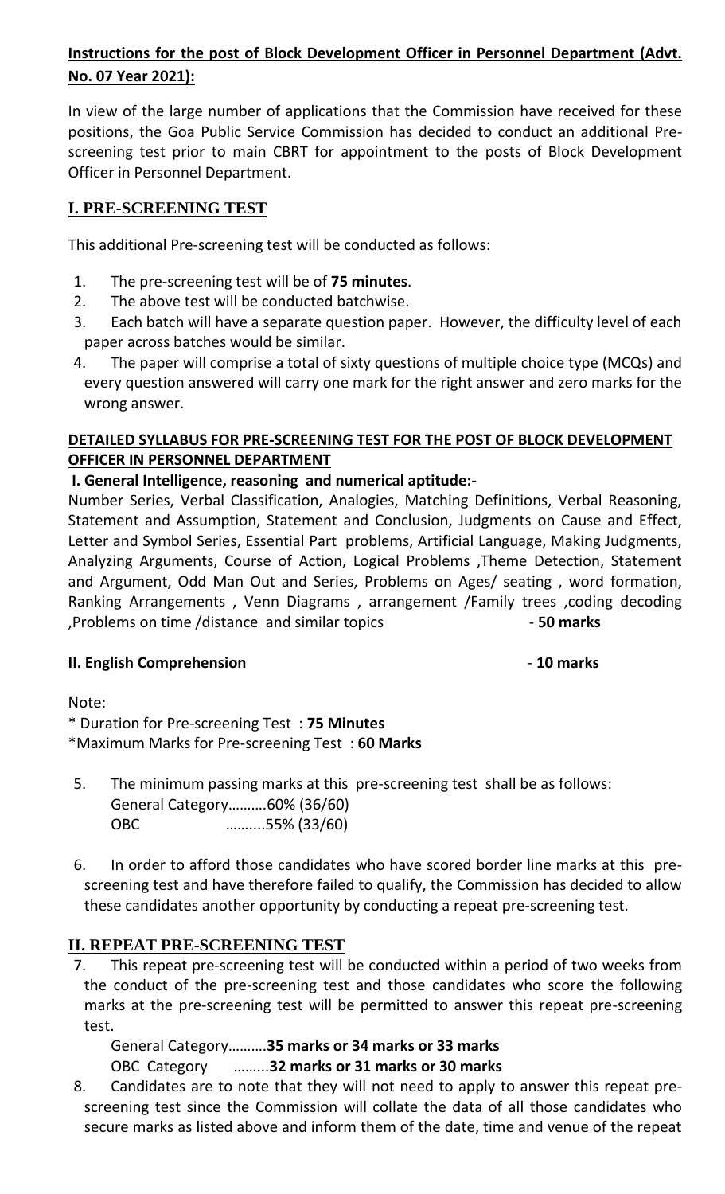# **Instructions for the post of Block Development Officer in Personnel Department (Advt. No. 07 Year 2021):**

In view of the large number of applications that the Commission have received for these positions, the Goa Public Service Commission has decided to conduct an additional Prescreening test prior to main CBRT for appointment to the posts of Block Development Officer in Personnel Department.

# **I. PRE-SCREENING TEST**

This additional Pre-screening test will be conducted as follows:

- 1. The pre-screening test will be of **75 minutes**.
- 2. The above test will be conducted batchwise.
- 3. Each batch will have a separate question paper. However, the difficulty level of each paper across batches would be similar.
- 4. The paper will comprise a total of sixty questions of multiple choice type (MCQs) and every question answered will carry one mark for the right answer and zero marks for the wrong answer.

# **DETAILED SYLLABUS FOR PRE-SCREENING TEST FOR THE POST OF BLOCK DEVELOPMENT OFFICER IN PERSONNEL DEPARTMENT**

## **I. General Intelligence, reasoning and numerical aptitude:-**

Number Series, Verbal Classification, Analogies, Matching Definitions, Verbal Reasoning, Statement and Assumption, Statement and Conclusion, Judgments on Cause and Effect, Letter and Symbol Series, Essential Part problems, Artificial Language, Making Judgments, Analyzing Arguments, Course of Action, Logical Problems ,Theme Detection, Statement and Argument, Odd Man Out and Series, Problems on Ages/ seating , word formation, Ranking Arrangements , Venn Diagrams , arrangement /Family trees ,coding decoding ,Problems on time /distance and similar topics - **50 marks**

## **II. English Comprehension 10 marks**

Note:

\* Duration for Pre-screening Test : **75 Minutes** \*Maximum Marks for Pre-screening Test : **60 Marks**

- 5. The minimum passing marks at this pre-screening test shall be as follows: General Category……….60% (36/60) OBC ……....55% (33/60)
- 6. In order to afford those candidates who have scored border line marks at this prescreening test and have therefore failed to qualify, the Commission has decided to allow these candidates another opportunity by conducting a repeat pre-screening test.

# **II. REPEAT PRE-SCREENING TEST**

7. This repeat pre-screening test will be conducted within a period of two weeks from the conduct of the pre-screening test and those candidates who score the following marks at the pre-screening test will be permitted to answer this repeat pre-screening test.

General Category……….**35 marks or 34 marks or 33 marks**

OBC Category ……...**32 marks or 31 marks or 30 marks**

8. Candidates are to note that they will not need to apply to answer this repeat prescreening test since the Commission will collate the data of all those candidates who secure marks as listed above and inform them of the date, time and venue of the repeat